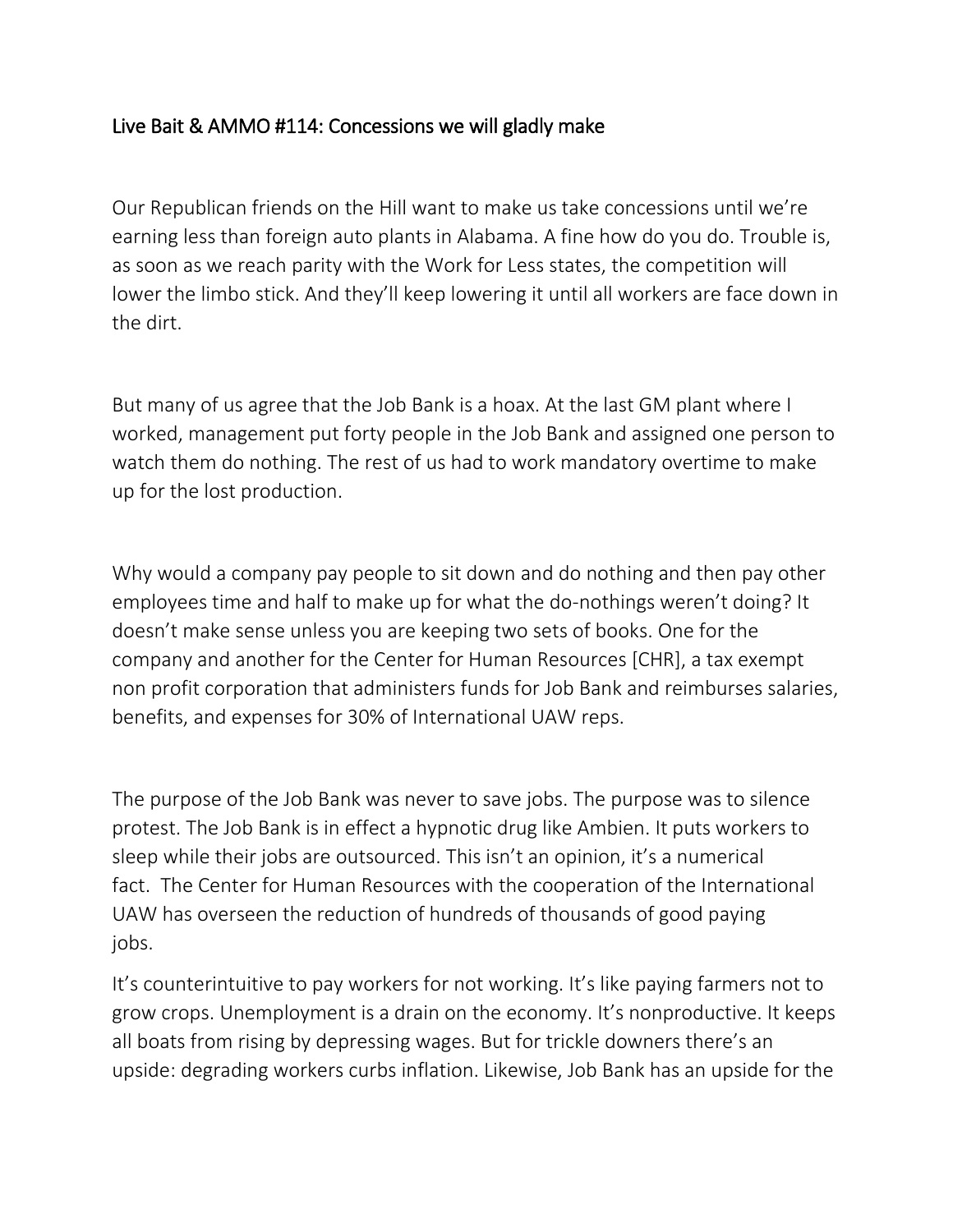## Live Bait & AMMO #114: Concessions we will gladly make

Our Republican friends on the Hill want to make us take concessions until we're earning less than foreign auto plants in Alabama. A fine how do you do. Trouble is, as soon as we reach parity with the Work for Less states, the competition will lower the limbo stick. And they'll keep lowering it until all workers are face down in the dirt.

But many of us agree that the Job Bank is a hoax. At the last GM plant where I worked, management put forty people in the Job Bank and assigned one person to watch them do nothing. The rest of us had to work mandatory overtime to make up for the lost production.

Why would a company pay people to sit down and do nothing and then pay other employees time and half to make up for what the do-nothings weren't doing? It doesn't make sense unless you are keeping two sets of books. One for the company and another for the Center for Human Resources [CHR], a tax exempt non profit corporation that administers funds for Job Bank and reimburses salaries, benefits, and expenses for 30% of International UAW reps.

The purpose of the Job Bank was never to save jobs. The purpose was to silence protest. The Job Bank is in effect a hypnotic drug like Ambien. It puts workers to sleep while their jobs are outsourced. This isn't an opinion, it's a numerical fact. The Center for Human Resources with the cooperation of the International UAW has overseen the reduction of hundreds of thousands of good paying jobs.

It's counterintuitive to pay workers for not working. It's like paying farmers not to grow crops. Unemployment is a drain on the economy. It's nonproductive. It keeps all boats from rising by depressing wages. But for trickle downers there's an upside: degrading workers curbs inflation. Likewise, Job Bank has an upside for the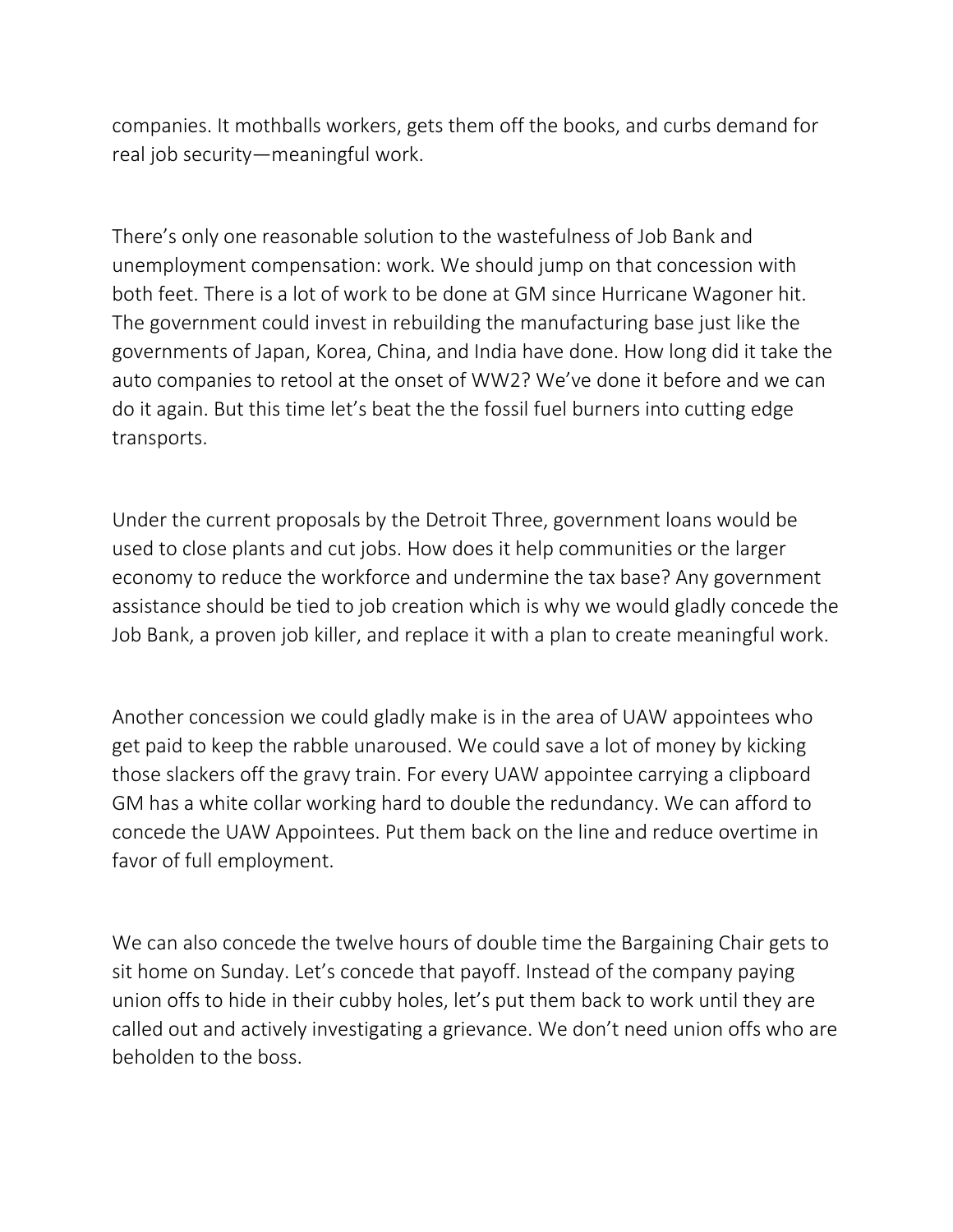companies. It mothballs workers, gets them off the books, and curbs demand for real job security—meaningful work.

There's only one reasonable solution to the wastefulness of Job Bank and unemployment compensation: work. We should jump on that concession with both feet. There is a lot of work to be done at GM since Hurricane Wagoner hit. The government could invest in rebuilding the manufacturing base just like the governments of Japan, Korea, China, and India have done. How long did it take the auto companies to retool at the onset of WW2? We've done it before and we can do it again. But this time let's beat the the fossil fuel burners into cutting edge transports.

Under the current proposals by the Detroit Three, government loans would be used to close plants and cut jobs. How does it help communities or the larger economy to reduce the workforce and undermine the tax base? Any government assistance should be tied to job creation which is why we would gladly concede the Job Bank, a proven job killer, and replace it with a plan to create meaningful work.

Another concession we could gladly make is in the area of UAW appointees who get paid to keep the rabble unaroused. We could save a lot of money by kicking those slackers off the gravy train. For every UAW appointee carrying a clipboard GM has a white collar working hard to double the redundancy. We can afford to concede the UAW Appointees. Put them back on the line and reduce overtime in favor of full employment.

We can also concede the twelve hours of double time the Bargaining Chair gets to sit home on Sunday. Let's concede that payoff. Instead of the company paying union offs to hide in their cubby holes, let's put them back to work until they are called out and actively investigating a grievance. We don't need union offs who are beholden to the boss.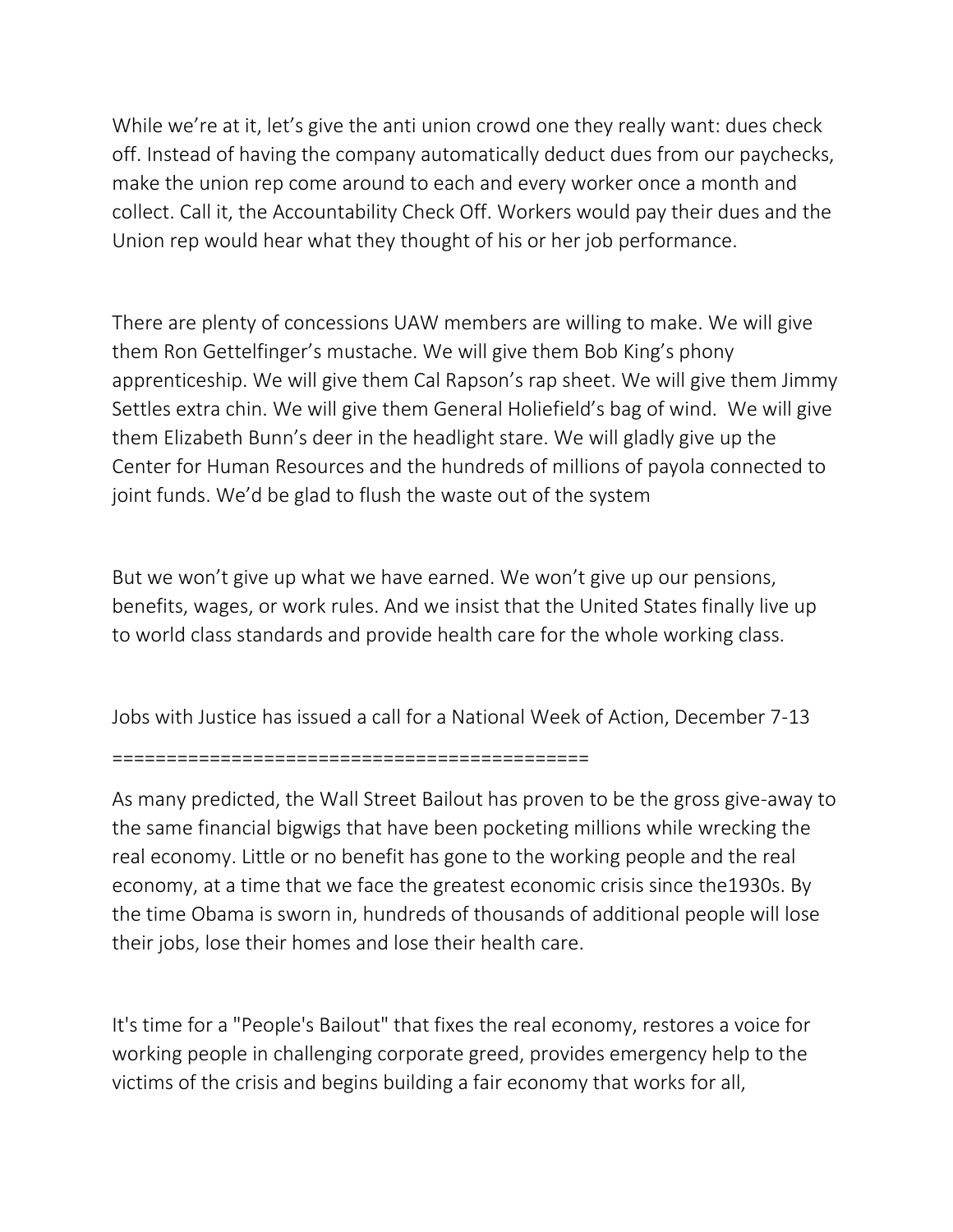While we're at it, let's give the anti union crowd one they really want: dues check off. Instead of having the company automatically deduct dues from our paychecks, make the union rep come around to each and every worker once a month and collect. Call it, the Accountability Check Off. Workers would pay their dues and the Union rep would hear what they thought of his or her job performance.

There are plenty of concessions UAW members are willing to make. We will give them Ron Gettelfinger's mustache. We will give them Bob King's phony apprenticeship. We will give them Cal Rapson's rap sheet. We will give them Jimmy Settles extra chin. We will give them General Holiefield's bag of wind. We will give them Elizabeth Bunn's deer in the headlight stare. We will gladly give up the Center for Human Resources and the hundreds of millions of payola connected to joint funds. We'd be glad to flush the waste out of the system

But we won't give up what we have earned. We won't give up our pensions, benefits, wages, or work rules. And we insist that the United States finally live up to world class standards and provide health care for the whole working class.

Jobs with Justice has issued a call for a National Week of Action, December 7-13

============================================

As many predicted, the Wall Street Bailout has proven to be the gross give-away to the same financial bigwigs that have been pocketing millions while wrecking the real economy. Little or no benefit has gone to the working people and the real economy, at a time that we face the greatest economic crisis since the1930s. By the time Obama is sworn in, hundreds of thousands of additional people will lose their jobs, lose their homes and lose their health care.

It's time for a "People's Bailout" that fixes the real economy, restores a voice for working people in challenging corporate greed, provides emergency help to the victims of the crisis and begins building a fair economy that works for all,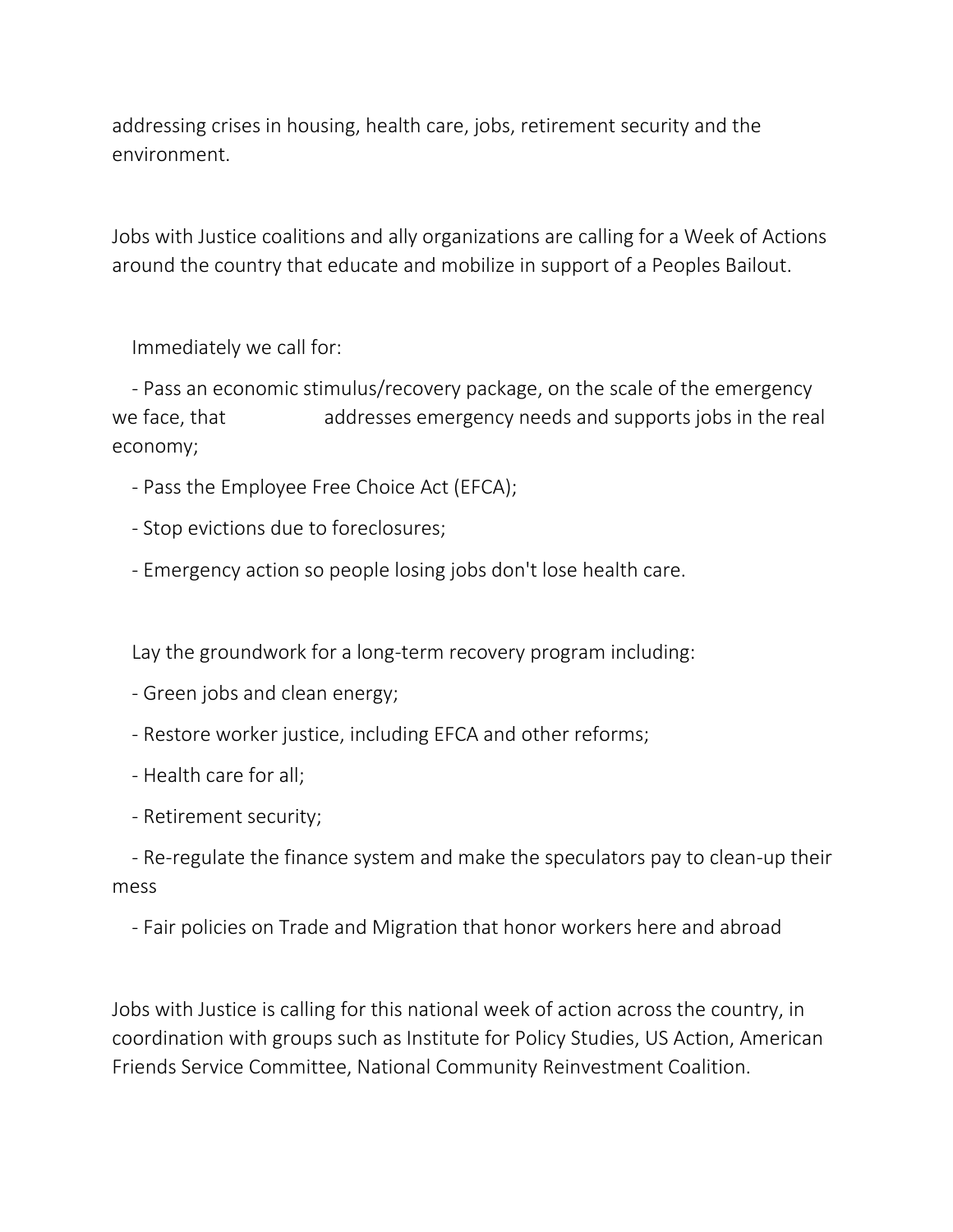addressing crises in housing, health care, jobs, retirement security and the environment.

Jobs with Justice coalitions and ally organizations are calling for a Week of Actions around the country that educate and mobilize in support of a Peoples Bailout.

Immediately we call for:

- Pass an economic stimulus/recovery package, on the scale of the emergency we face, that addresses emergency needs and supports jobs in the real economy;

- Pass the Employee Free Choice Act (EFCA);
- Stop evictions due to foreclosures;
- Emergency action so people losing jobs don't lose health care.

Lay the groundwork for a long-term recovery program including:

- Green jobs and clean energy;
- Restore worker justice, including EFCA and other reforms;
- Health care for all;
- Retirement security;

- Re-regulate the finance system and make the speculators pay to clean-up their mess

- Fair policies on Trade and Migration that honor workers here and abroad

Jobs with Justice is calling for this national week of action across the country, in coordination with groups such as Institute for Policy Studies, US Action, American Friends Service Committee, National Community Reinvestment Coalition.